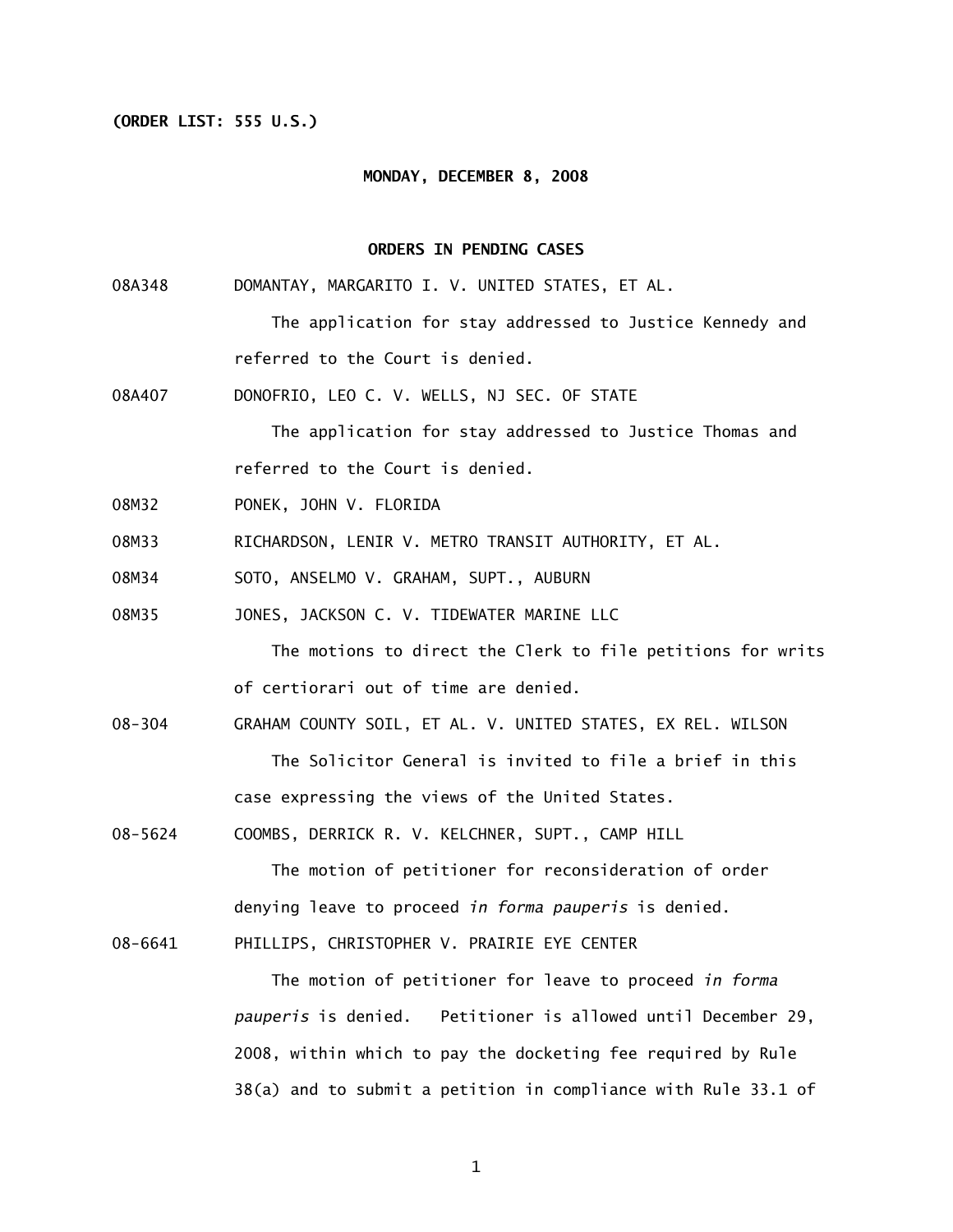# **(ORDER LIST: 555 U.S.)**

#### **MONDAY, DECEMBER 8, 2008**

# **ORDERS IN PENDING CASES**

- 08A348 DOMANTAY, MARGARITO I. V. UNITED STATES, ET AL. The application for stay addressed to Justice Kennedy and referred to the Court is denied.
- 08A407 DONOFRIO, LEO C. V. WELLS, NJ SEC. OF STATE

 The application for stay addressed to Justice Thomas and referred to the Court is denied.

- 08M32 PONEK, JOHN V. FLORIDA
- 08M33 RICHARDSON, LENIR V. METRO TRANSIT AUTHORITY, ET AL.
- 08M34 SOTO, ANSELMO V. GRAHAM, SUPT., AUBURN
- 08M35 JONES, JACKSON C. V. TIDEWATER MARINE LLC

 The motions to direct the Clerk to file petitions for writs of certiorari out of time are denied.

- 08-304 GRAHAM COUNTY SOIL, ET AL. V. UNITED STATES, EX REL. WILSON The Solicitor General is invited to file a brief in this case expressing the views of the United States.
- 08-5624 COOMBS, DERRICK R. V. KELCHNER, SUPT., CAMP HILL

 The motion of petitioner for reconsideration of order denying leave to proceed *in forma pauperis* is denied.

08-6641 PHILLIPS, CHRISTOPHER V. PRAIRIE EYE CENTER

 The motion of petitioner for leave to proceed *in forma pauperis* is denied. Petitioner is allowed until December 29, 2008, within which to pay the docketing fee required by Rule 38(a) and to submit a petition in compliance with Rule 33.1 of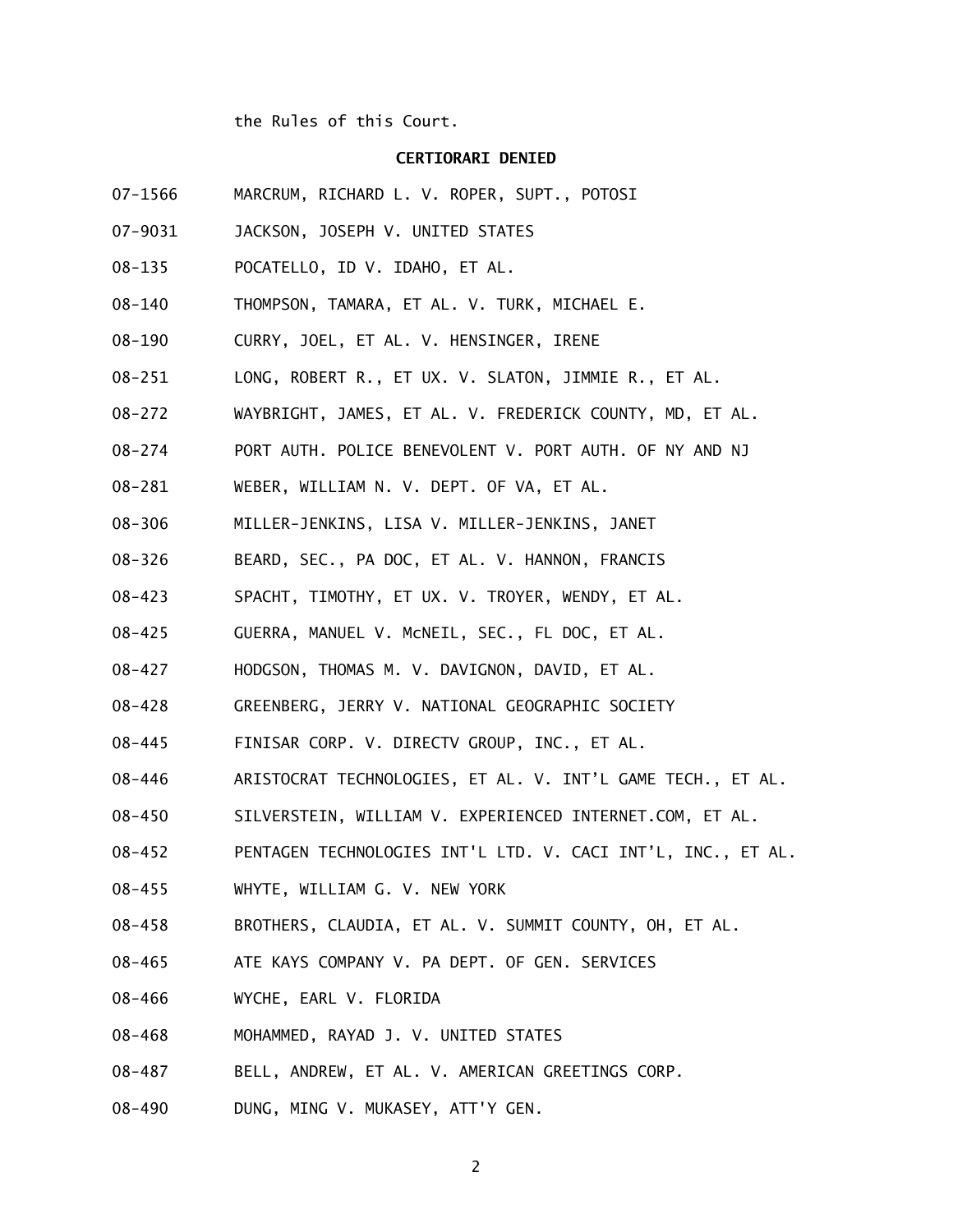the Rules of this Court.

### **CERTIORARI DENIED**

- 07-1566 MARCRUM, RICHARD L. V. ROPER, SUPT., POTOSI
- 07-9031 JACKSON, JOSEPH V. UNITED STATES
- 08-135 POCATELLO, ID V. IDAHO, ET AL.
- 08-140 THOMPSON, TAMARA, ET AL. V. TURK, MICHAEL E.
- 08-190 CURRY, JOEL, ET AL. V. HENSINGER, IRENE
- 08-251 LONG, ROBERT R., ET UX. V. SLATON, JIMMIE R., ET AL.
- 08-272 WAYBRIGHT, JAMES, ET AL. V. FREDERICK COUNTY, MD, ET AL.
- 08-274 PORT AUTH. POLICE BENEVOLENT V. PORT AUTH. OF NY AND NJ
- 08-281 WEBER, WILLIAM N. V. DEPT. OF VA, ET AL.
- 08-306 MILLER-JENKINS, LISA V. MILLER-JENKINS, JANET
- 08-326 BEARD, SEC., PA DOC, ET AL. V. HANNON, FRANCIS
- 08-423 SPACHT, TIMOTHY, ET UX. V. TROYER, WENDY, ET AL.
- 08-425 GUERRA, MANUEL V. McNEIL, SEC., FL DOC, ET AL.
- 08-427 HODGSON, THOMAS M. V. DAVIGNON, DAVID, ET AL.
- 08-428 GREENBERG, JERRY V. NATIONAL GEOGRAPHIC SOCIETY
- 08-445 FINISAR CORP. V. DIRECTV GROUP, INC., ET AL.
- 08-446 ARISTOCRAT TECHNOLOGIES, ET AL. V. INT'L GAME TECH., ET AL.
- 08-450 SILVERSTEIN, WILLIAM V. EXPERIENCED INTERNET.COM, ET AL.
- 08-452 PENTAGEN TECHNOLOGIES INT'L LTD. V. CACI INT'L, INC., ET AL.
- 08-455 WHYTE, WILLIAM G. V. NEW YORK
- 08-458 BROTHERS, CLAUDIA, ET AL. V. SUMMIT COUNTY, OH, ET AL.
- 08-465 ATE KAYS COMPANY V. PA DEPT. OF GEN. SERVICES
- 08-466 WYCHE, EARL V. FLORIDA
- 08-468 MOHAMMED, RAYAD J. V. UNITED STATES
- 08-487 BELL, ANDREW, ET AL. V. AMERICAN GREETINGS CORP.
- 08-490 DUNG, MING V. MUKASEY, ATT'Y GEN.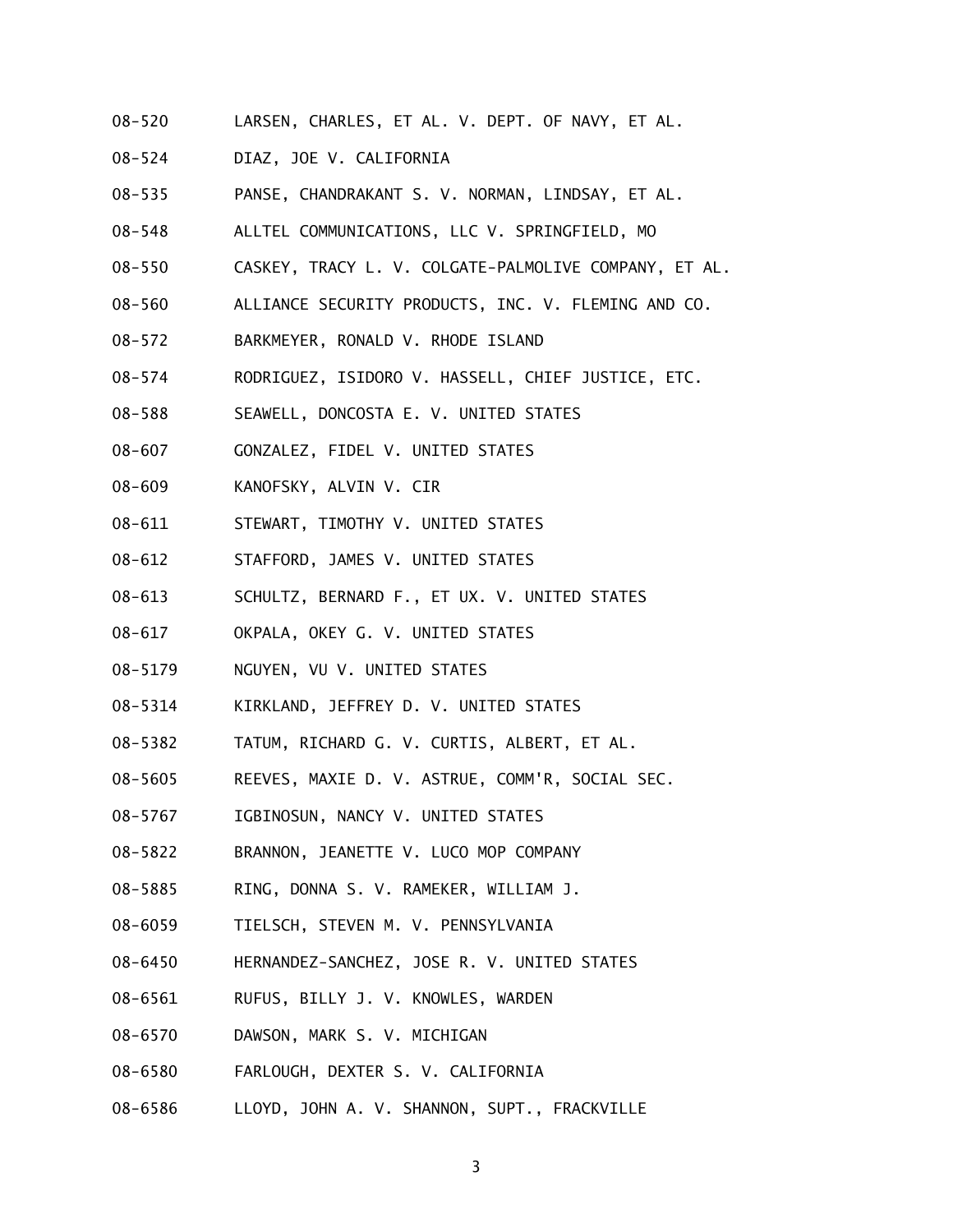- 08-520 LARSEN, CHARLES, ET AL. V. DEPT. OF NAVY, ET AL.
- 08-524 DIAZ, JOE V. CALIFORNIA
- 08-535 PANSE, CHANDRAKANT S. V. NORMAN, LINDSAY, ET AL.
- 08-548 ALLTEL COMMUNICATIONS, LLC V. SPRINGFIELD, MO
- 08-550 CASKEY, TRACY L. V. COLGATE-PALMOLIVE COMPANY, ET AL.
- 08-560 ALLIANCE SECURITY PRODUCTS, INC. V. FLEMING AND CO.
- 08-572 BARKMEYER, RONALD V. RHODE ISLAND
- 08-574 RODRIGUEZ, ISIDORO V. HASSELL, CHIEF JUSTICE, ETC.
- 08-588 SEAWELL, DONCOSTA E. V. UNITED STATES
- 08-607 GONZALEZ, FIDEL V. UNITED STATES
- 08-609 KANOFSKY, ALVIN V. CIR
- 08-611 STEWART, TIMOTHY V. UNITED STATES
- 08-612 STAFFORD, JAMES V. UNITED STATES
- 08-613 SCHULTZ, BERNARD F., ET UX. V. UNITED STATES
- 08-617 OKPALA, OKEY G. V. UNITED STATES
- 08-5179 NGUYEN, VU V. UNITED STATES
- 08-5314 KIRKLAND, JEFFREY D. V. UNITED STATES
- 08-5382 TATUM, RICHARD G. V. CURTIS, ALBERT, ET AL.
- 08-5605 REEVES, MAXIE D. V. ASTRUE, COMM'R, SOCIAL SEC.
- 08-5767 IGBINOSUN, NANCY V. UNITED STATES
- 08-5822 BRANNON, JEANETTE V. LUCO MOP COMPANY
- 08-5885 RING, DONNA S. V. RAMEKER, WILLIAM J.
- 08-6059 TIELSCH, STEVEN M. V. PENNSYLVANIA
- 08-6450 HERNANDEZ-SANCHEZ, JOSE R. V. UNITED STATES
- 08-6561 RUFUS, BILLY J. V. KNOWLES, WARDEN
- 08-6570 DAWSON, MARK S. V. MICHIGAN
- 08-6580 FARLOUGH, DEXTER S. V. CALIFORNIA
- 08-6586 LLOYD, JOHN A. V. SHANNON, SUPT., FRACKVILLE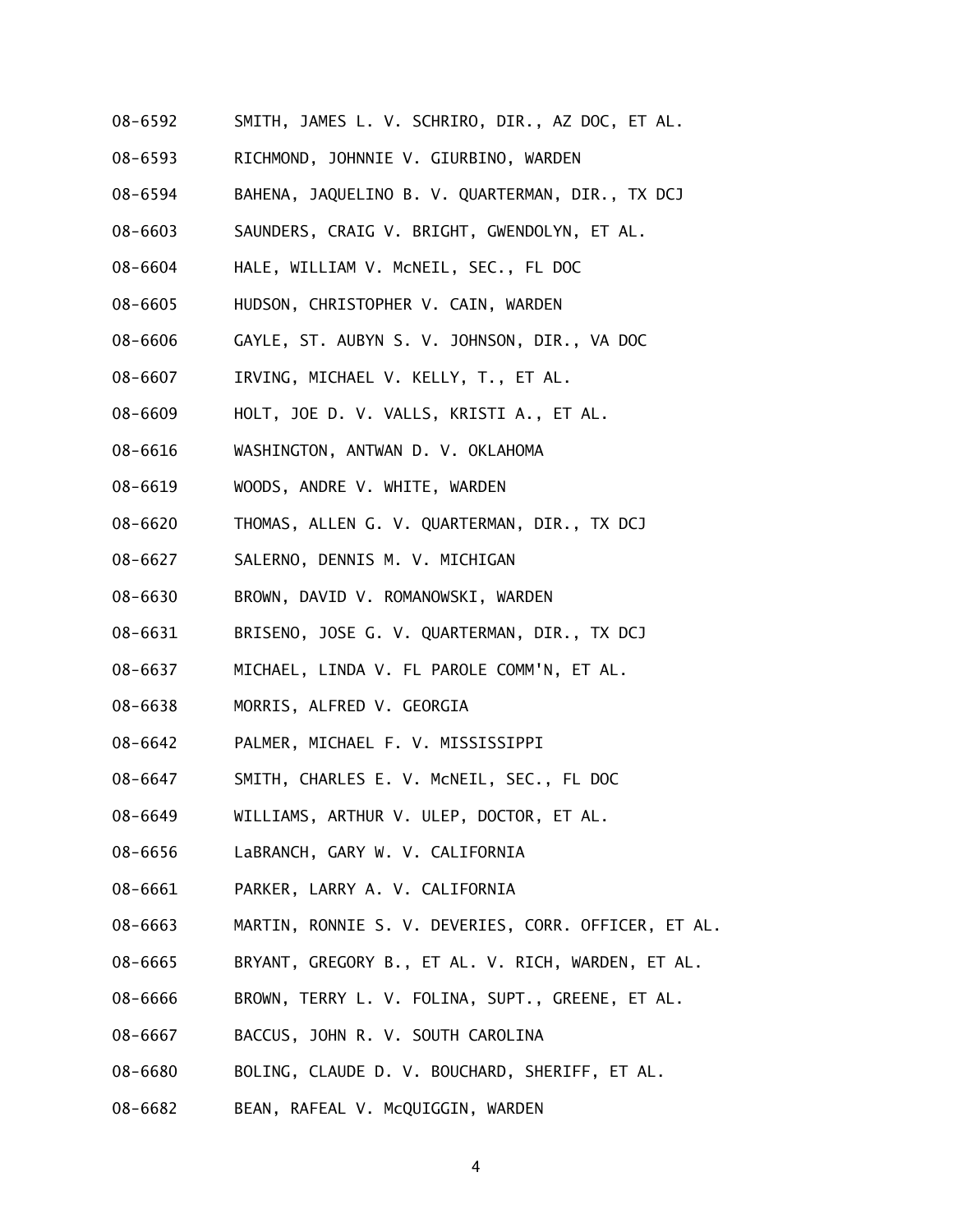- 08-6592 SMITH, JAMES L. V. SCHRIRO, DIR., AZ DOC, ET AL.
- 08-6593 RICHMOND, JOHNNIE V. GIURBINO, WARDEN
- 08-6594 BAHENA, JAQUELINO B. V. QUARTERMAN, DIR., TX DCJ
- 08-6603 SAUNDERS, CRAIG V. BRIGHT, GWENDOLYN, ET AL.
- 08-6604 HALE, WILLIAM V. McNEIL, SEC., FL DOC
- 08-6605 HUDSON, CHRISTOPHER V. CAIN, WARDEN
- 08-6606 GAYLE, ST. AUBYN S. V. JOHNSON, DIR., VA DOC
- 08-6607 IRVING, MICHAEL V. KELLY, T., ET AL.
- 08-6609 HOLT, JOE D. V. VALLS, KRISTI A., ET AL.
- 08-6616 WASHINGTON, ANTWAN D. V. OKLAHOMA
- 08-6619 WOODS, ANDRE V. WHITE, WARDEN
- 08-6620 THOMAS, ALLEN G. V. QUARTERMAN, DIR., TX DCJ
- 08-6627 SALERNO, DENNIS M. V. MICHIGAN
- 08-6630 BROWN, DAVID V. ROMANOWSKI, WARDEN
- 08-6631 BRISENO, JOSE G. V. QUARTERMAN, DIR., TX DCJ
- 08-6637 MICHAEL, LINDA V. FL PAROLE COMM'N, ET AL.
- 08-6638 MORRIS, ALFRED V. GEORGIA
- 08-6642 PALMER, MICHAEL F. V. MISSISSIPPI
- 08-6647 SMITH, CHARLES E. V. McNEIL, SEC., FL DOC
- 08-6649 WILLIAMS, ARTHUR V. ULEP, DOCTOR, ET AL.
- 08-6656 LaBRANCH, GARY W. V. CALIFORNIA
- 08-6661 PARKER, LARRY A. V. CALIFORNIA
- 08-6663 MARTIN, RONNIE S. V. DEVERIES, CORR. OFFICER, ET AL.
- 08-6665 BRYANT, GREGORY B., ET AL. V. RICH, WARDEN, ET AL.
- 08-6666 BROWN, TERRY L. V. FOLINA, SUPT., GREENE, ET AL.
- 08-6667 BACCUS, JOHN R. V. SOUTH CAROLINA
- 08-6680 BOLING, CLAUDE D. V. BOUCHARD, SHERIFF, ET AL.
- 08-6682 BEAN, RAFEAL V. McQUIGGIN, WARDEN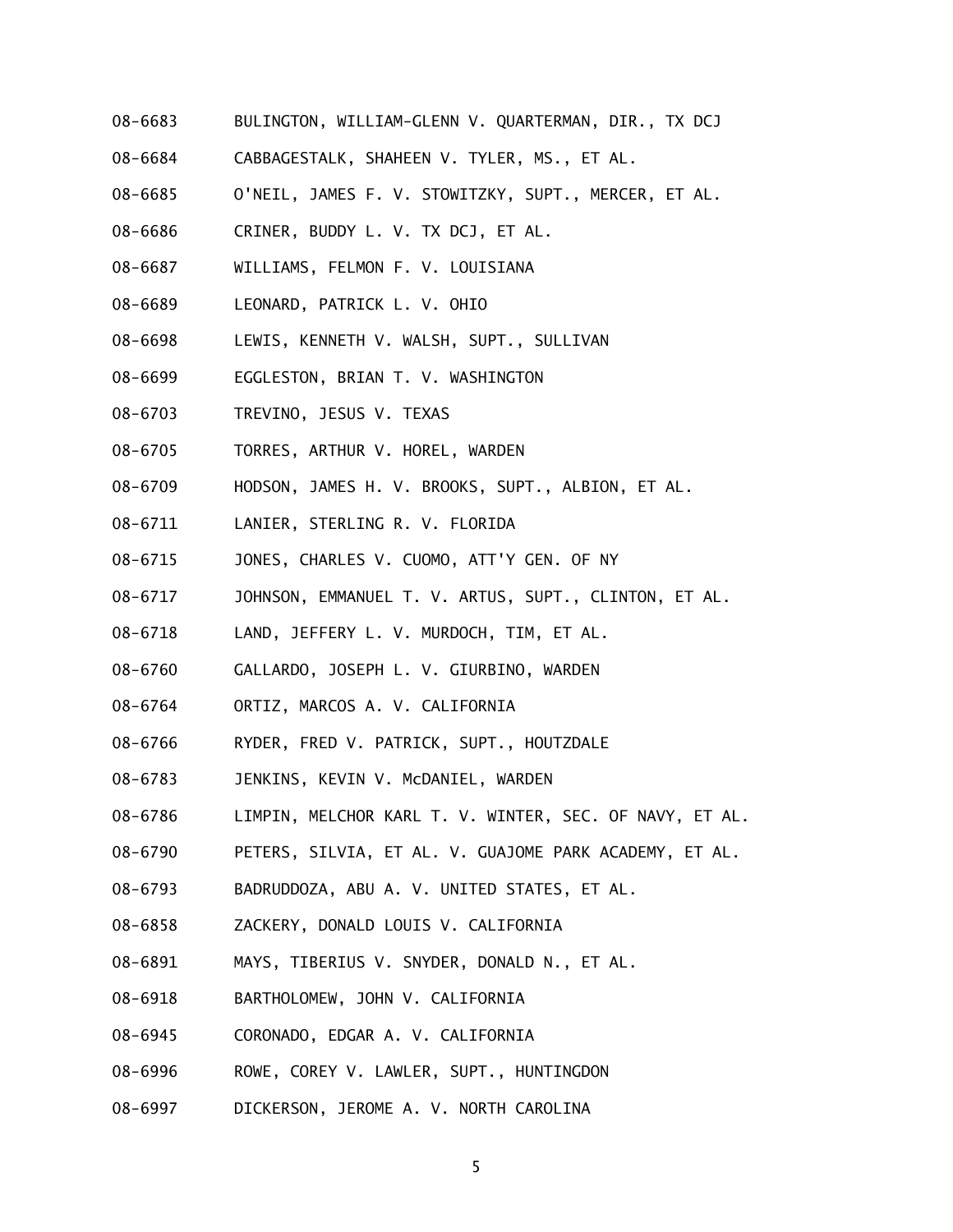- 08-6683 BULINGTON, WILLIAM-GLENN V. QUARTERMAN, DIR., TX DCJ
- 08-6684 CABBAGESTALK, SHAHEEN V. TYLER, MS., ET AL.
- 08-6685 O'NEIL, JAMES F. V. STOWITZKY, SUPT., MERCER, ET AL.
- 08-6686 CRINER, BUDDY L. V. TX DCJ, ET AL.
- 08-6687 WILLIAMS, FELMON F. V. LOUISIANA
- 08-6689 LEONARD, PATRICK L. V. OHIO
- 08-6698 LEWIS, KENNETH V. WALSH, SUPT., SULLIVAN
- 08-6699 EGGLESTON, BRIAN T. V. WASHINGTON
- 08-6703 TREVINO, JESUS V. TEXAS
- 08-6705 TORRES, ARTHUR V. HOREL, WARDEN
- 08-6709 HODSON, JAMES H. V. BROOKS, SUPT., ALBION, ET AL.
- 08-6711 LANIER, STERLING R. V. FLORIDA
- 08-6715 JONES, CHARLES V. CUOMO, ATT'Y GEN. OF NY
- 08-6717 JOHNSON, EMMANUEL T. V. ARTUS, SUPT., CLINTON, ET AL.
- 08-6718 LAND, JEFFERY L. V. MURDOCH, TIM, ET AL.
- 08-6760 GALLARDO, JOSEPH L. V. GIURBINO, WARDEN
- 08-6764 ORTIZ, MARCOS A. V. CALIFORNIA
- 08-6766 RYDER, FRED V. PATRICK, SUPT., HOUTZDALE
- 08-6783 JENKINS, KEVIN V. McDANIEL, WARDEN
- 08-6786 LIMPIN, MELCHOR KARL T. V. WINTER, SEC. OF NAVY, ET AL.
- 08-6790 PETERS, SILVIA, ET AL. V. GUAJOME PARK ACADEMY, ET AL.
- 08-6793 BADRUDDOZA, ABU A. V. UNITED STATES, ET AL.
- 08-6858 ZACKERY, DONALD LOUIS V. CALIFORNIA
- 08-6891 MAYS, TIBERIUS V. SNYDER, DONALD N., ET AL.
- 08-6918 BARTHOLOMEW, JOHN V. CALIFORNIA
- 08-6945 CORONADO, EDGAR A. V. CALIFORNIA
- 08-6996 ROWE, COREY V. LAWLER, SUPT., HUNTINGDON
- 08-6997 DICKERSON, JEROME A. V. NORTH CAROLINA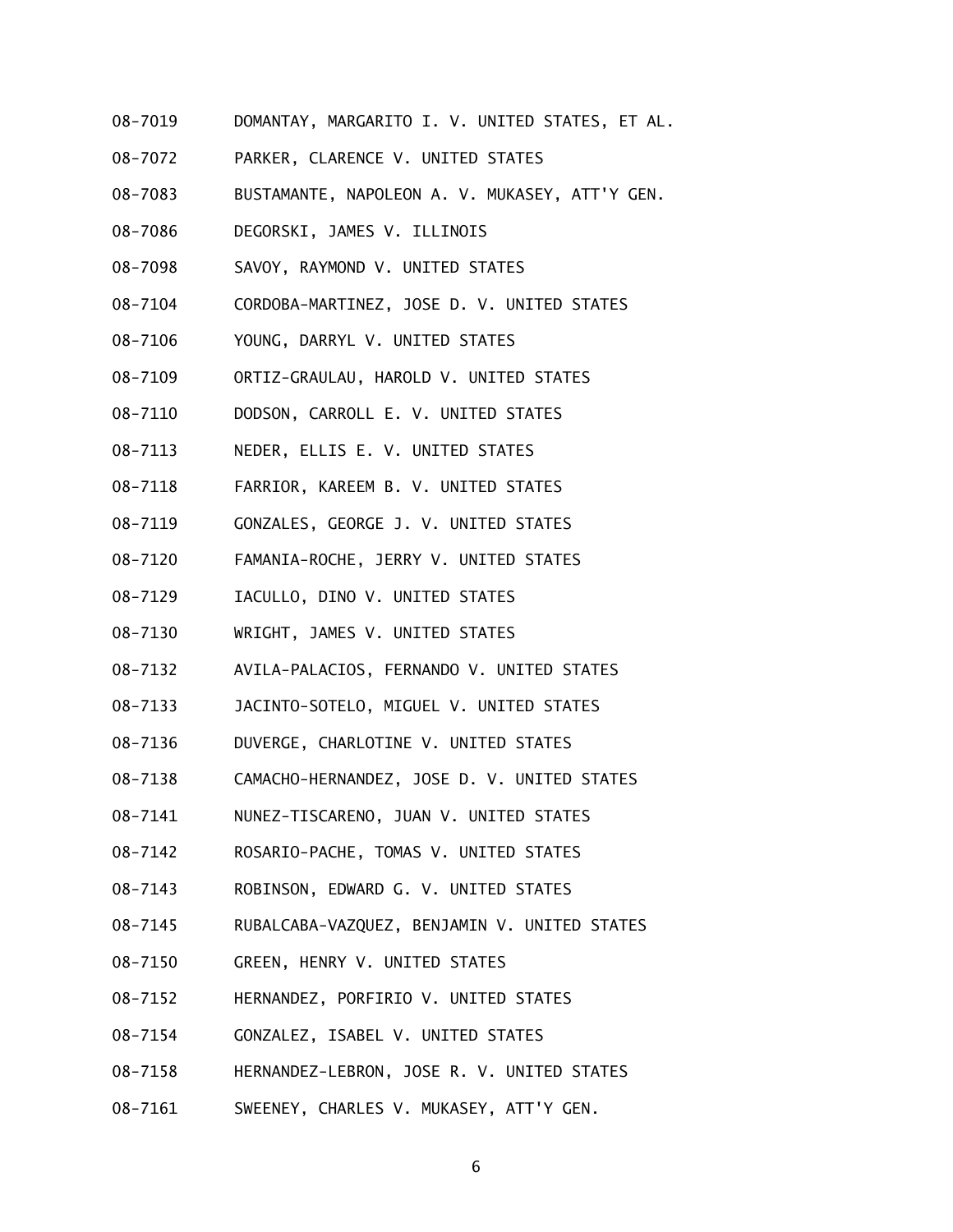- 08-7019 DOMANTAY, MARGARITO I. V. UNITED STATES, ET AL.
- 08-7072 PARKER, CLARENCE V. UNITED STATES
- 08-7083 BUSTAMANTE, NAPOLEON A. V. MUKASEY, ATT'Y GEN.
- 08-7086 DEGORSKI, JAMES V. ILLINOIS
- 08-7098 SAVOY, RAYMOND V. UNITED STATES
- 08-7104 CORDOBA-MARTINEZ, JOSE D. V. UNITED STATES
- 08-7106 YOUNG, DARRYL V. UNITED STATES
- 08-7109 ORTIZ-GRAULAU, HAROLD V. UNITED STATES
- 08-7110 DODSON, CARROLL E. V. UNITED STATES
- 08-7113 NEDER, ELLIS E. V. UNITED STATES
- 08-7118 FARRIOR, KAREEM B. V. UNITED STATES
- 08-7119 GONZALES, GEORGE J. V. UNITED STATES
- 08-7120 FAMANIA-ROCHE, JERRY V. UNITED STATES
- 08-7129 IACULLO, DINO V. UNITED STATES
- 08-7130 WRIGHT, JAMES V. UNITED STATES
- 08-7132 AVILA-PALACIOS, FERNANDO V. UNITED STATES
- 08-7133 JACINTO-SOTELO, MIGUEL V. UNITED STATES
- 08-7136 DUVERGE, CHARLOTINE V. UNITED STATES
- 08-7138 CAMACHO-HERNANDEZ, JOSE D. V. UNITED STATES
- 08-7141 NUNEZ-TISCARENO, JUAN V. UNITED STATES
- 08-7142 ROSARIO-PACHE, TOMAS V. UNITED STATES
- 08-7143 ROBINSON, EDWARD G. V. UNITED STATES
- 08-7145 RUBALCABA-VAZQUEZ, BENJAMIN V. UNITED STATES
- 08-7150 GREEN, HENRY V. UNITED STATES
- 08-7152 HERNANDEZ, PORFIRIO V. UNITED STATES
- 08-7154 GONZALEZ, ISABEL V. UNITED STATES
- 08-7158 HERNANDEZ-LEBRON, JOSE R. V. UNITED STATES
- 08-7161 SWEENEY, CHARLES V. MUKASEY, ATT'Y GEN.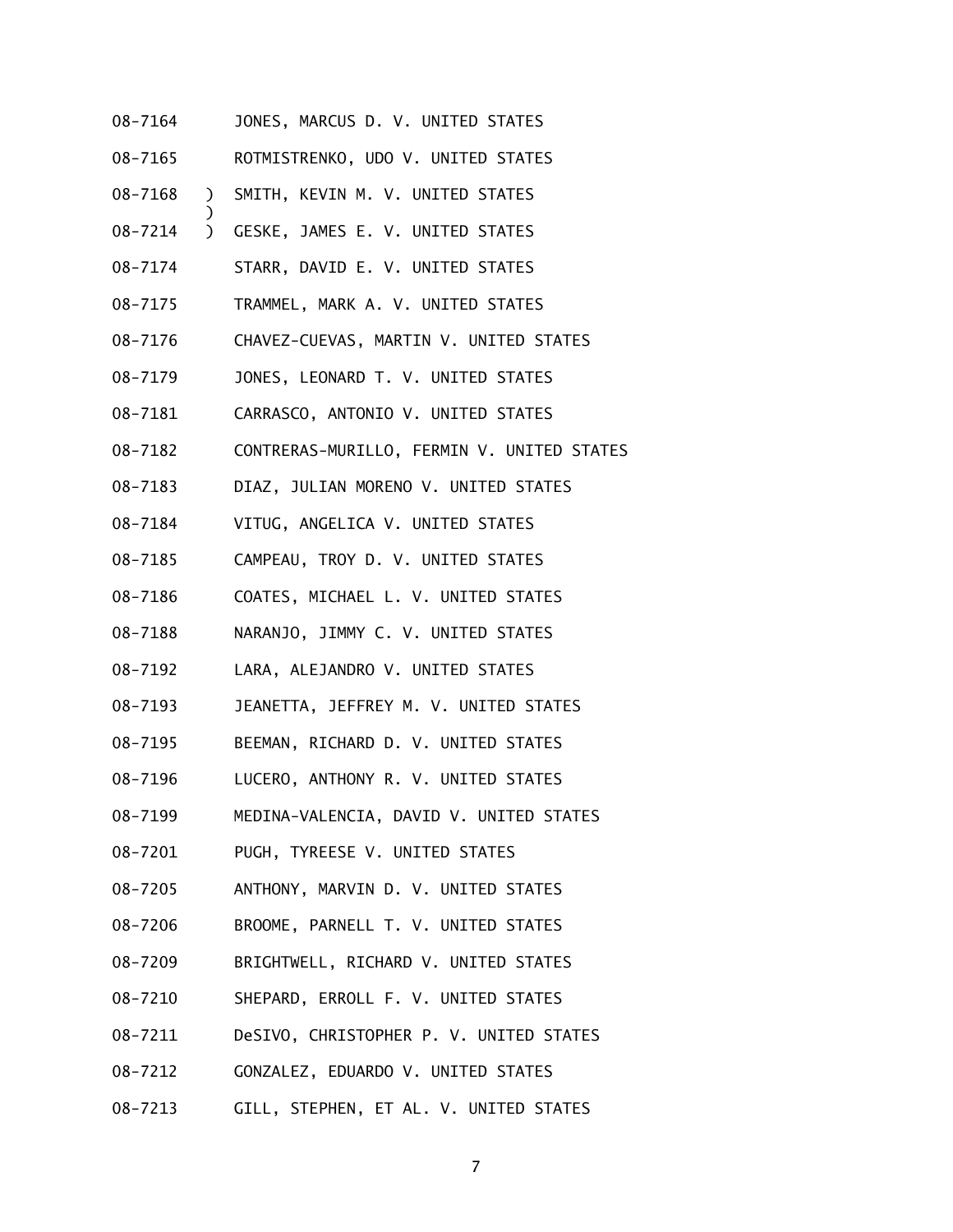| 08-7164     |                    | JONES, MARCUS D. V. UNITED STATES              |
|-------------|--------------------|------------------------------------------------|
| $08 - 7165$ |                    | ROTMISTRENKO, UDO V. UNITED STATES             |
| 08-7168     | $\mathcal{L}$      | SMITH, KEVIN M. V. UNITED STATES               |
| 08-7214     | )<br>$\mathcal{L}$ | GESKE, JAMES E. V. UNITED STATES               |
| 08-7174     |                    | STARR, DAVID E. V. UNITED STATES               |
| 08-7175     |                    | TRAMMEL, MARK A. V. UNITED STATES              |
| $08 - 7176$ |                    | CHAVEZ-CUEVAS, MARTIN V. UNITED STATES         |
| 08-7179     |                    | JONES, LEONARD T. V. UNITED STATES             |
| $08 - 7181$ |                    | CARRASCO, ANTONIO V. UNITED STATES             |
| 08-7182     |                    | CONTRERAS-MURILLO, FERMIN V. UNITED STATES     |
| $08 - 7183$ |                    | DIAZ, JULIAN MORENO V. UNITED STATES           |
| 08-7184     |                    | VITUG, ANGELICA V. UNITED STATES               |
| 08-7185     |                    | CAMPEAU, TROY D. V. UNITED STATES              |
| 08-7186     |                    | COATES, MICHAEL L. V. UNITED STATES            |
| 08-7188     |                    | NARANJO, JIMMY C. V. UNITED STATES             |
| 08-7192     |                    | LARA, ALEJANDRO V. UNITED STATES               |
| 08-7193     |                    | JEANETTA, JEFFREY M. V. UNITED STATES          |
| 08-7195     |                    | BEEMAN, RICHARD D. V. UNITED STATES            |
| 08-7196     |                    | LUCERO, ANTHONY R. V. UNITED STATES            |
| 08-7199     |                    | MEDINA-VALENCIA, DAVID V. UNITED STATES        |
| 08-7201     |                    | PUGH, TYREESE V. UNITED STATES                 |
| 08-7205     |                    | ANTHONY, MARVIN D. V. UNITED STATES            |
| 08-7206     |                    | BROOME, PARNELL T. V. UNITED STATES            |
| 08-7209     |                    | BRIGHTWELL, RICHARD V. UNITED STATES           |
| 08-7210     |                    | SHEPARD, ERROLL F. V. UNITED STATES            |
| 08-7211     |                    | DeSIVO, CHRISTOPHER P. V. UNITED STATES        |
| 08-7212     |                    | GONZALEZ, EDUARDO V. UNITED STATES             |
|             |                    | 08-7213 GILL, STEPHEN, ET AL. V. UNITED STATES |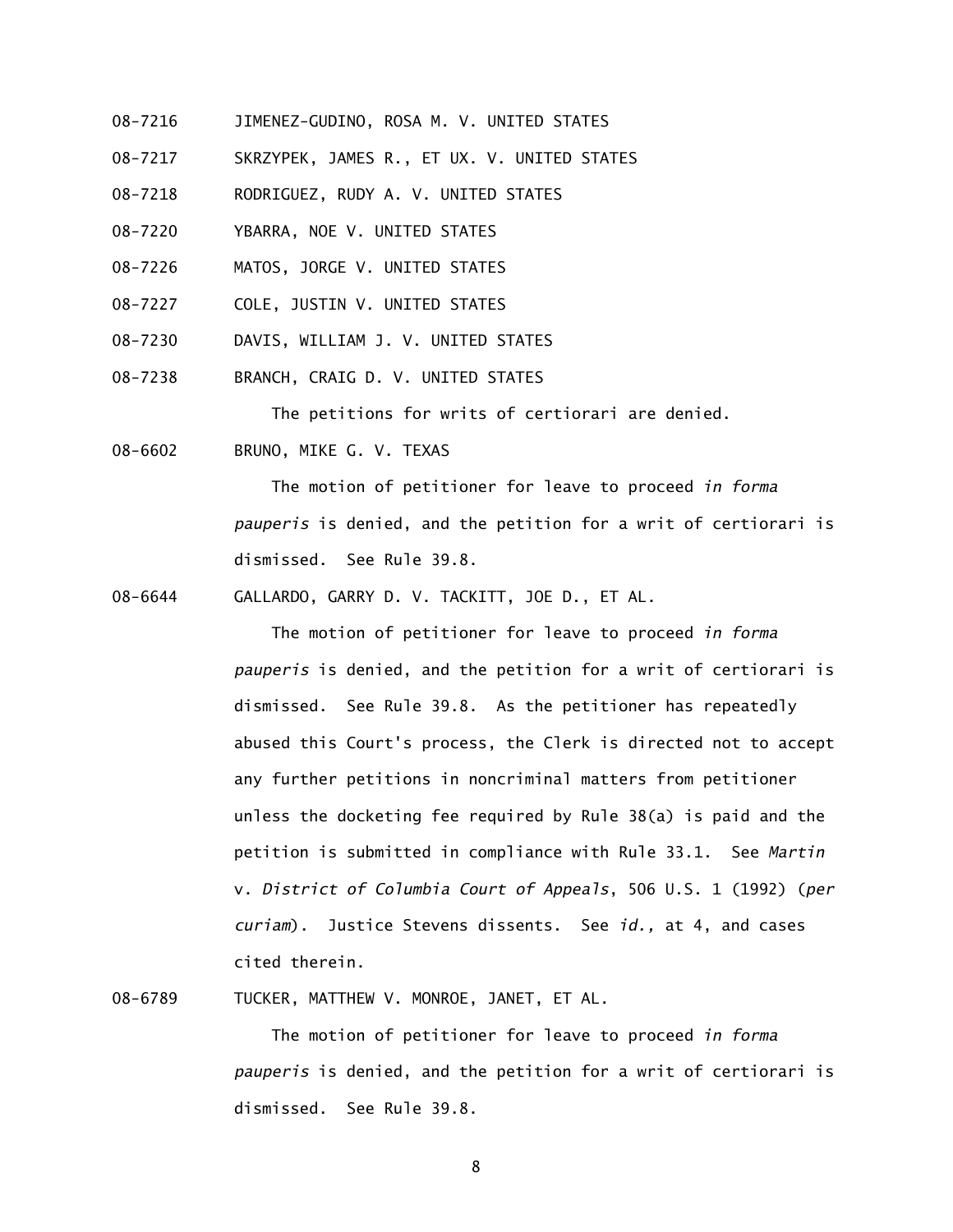- 08-7216 JIMENEZ-GUDINO, ROSA M. V. UNITED STATES
- 08-7217 SKRZYPEK, JAMES R., ET UX. V. UNITED STATES
- 08-7218 RODRIGUEZ, RUDY A. V. UNITED STATES
- 08-7220 YBARRA, NOE V. UNITED STATES
- 08-7226 MATOS, JORGE V. UNITED STATES
- 08-7227 COLE, JUSTIN V. UNITED STATES
- 08-7230 DAVIS, WILLIAM J. V. UNITED STATES
- 08-7238 BRANCH, CRAIG D. V. UNITED STATES

The petitions for writs of certiorari are denied.

08-6602 BRUNO, MIKE G. V. TEXAS

 The motion of petitioner for leave to proceed *in forma pauperis* is denied, and the petition for a writ of certiorari is dismissed. See Rule 39.8.

08-6644 GALLARDO, GARRY D. V. TACKITT, JOE D., ET AL.

 The motion of petitioner for leave to proceed *in forma pauperis* is denied, and the petition for a writ of certiorari is dismissed. See Rule 39.8. As the petitioner has repeatedly abused this Court's process, the Clerk is directed not to accept any further petitions in noncriminal matters from petitioner unless the docketing fee required by Rule 38(a) is paid and the petition is submitted in compliance with Rule 33.1. See *Martin*  v. *District of Columbia Court of Appeals*, 506 U.S. 1 (1992) (*per curiam*). Justice Stevens dissents. See *id.,* at 4, and cases cited therein.

08-6789 TUCKER, MATTHEW V. MONROE, JANET, ET AL.

 The motion of petitioner for leave to proceed *in forma pauperis* is denied, and the petition for a writ of certiorari is dismissed. See Rule 39.8.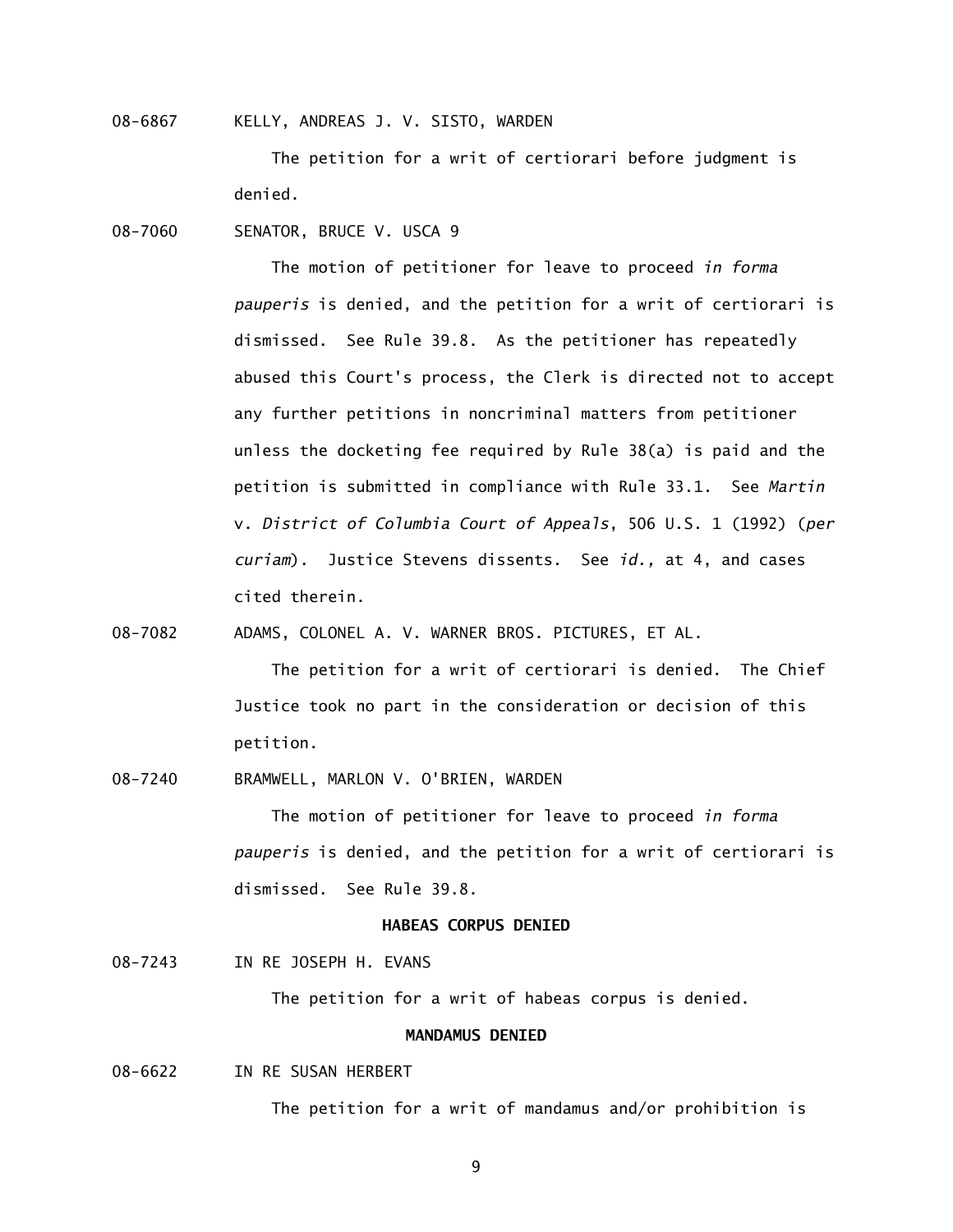08-6867 KELLY, ANDREAS J. V. SISTO, WARDEN

 The petition for a writ of certiorari before judgment is denied.

08-7060 SENATOR, BRUCE V. USCA 9

 The motion of petitioner for leave to proceed *in forma pauperis* is denied, and the petition for a writ of certiorari is dismissed. See Rule 39.8. As the petitioner has repeatedly abused this Court's process, the Clerk is directed not to accept any further petitions in noncriminal matters from petitioner unless the docketing fee required by Rule 38(a) is paid and the petition is submitted in compliance with Rule 33.1. See *Martin*  v. *District of Columbia Court of Appeals*, 506 U.S. 1 (1992) (*per curiam*). Justice Stevens dissents. See *id.,* at 4, and cases cited therein.

08-7082 ADAMS, COLONEL A. V. WARNER BROS. PICTURES, ET AL.

 The petition for a writ of certiorari is denied. The Chief Justice took no part in the consideration or decision of this petition.

08-7240 BRAMWELL, MARLON V. O'BRIEN, WARDEN

 The motion of petitioner for leave to proceed *in forma pauperis* is denied, and the petition for a writ of certiorari is dismissed. See Rule 39.8.

# **HABEAS CORPUS DENIED**

08-7243 IN RE JOSEPH H. EVANS

The petition for a writ of habeas corpus is denied.

# **MANDAMUS DENIED**

08-6622 IN RE SUSAN HERBERT

The petition for a writ of mandamus and/or prohibition is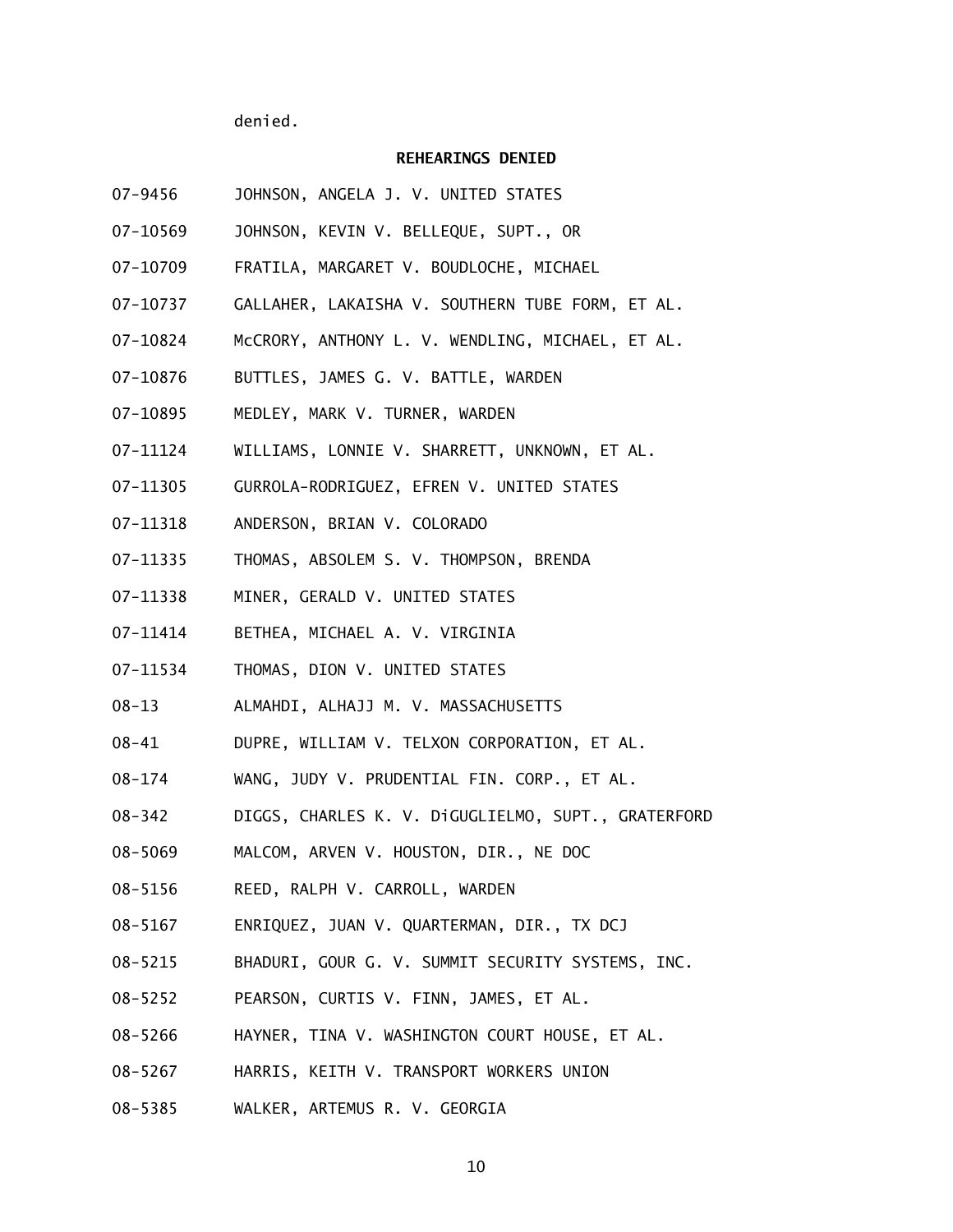denied.

### **REHEARINGS DENIED**

- 07-9456 JOHNSON, ANGELA J. V. UNITED STATES
- 07-10569 JOHNSON, KEVIN V. BELLEQUE, SUPT., OR
- 07-10709 FRATILA, MARGARET V. BOUDLOCHE, MICHAEL
- 07-10737 GALLAHER, LAKAISHA V. SOUTHERN TUBE FORM, ET AL.
- 07-10824 McCRORY, ANTHONY L. V. WENDLING, MICHAEL, ET AL.
- 07-10876 BUTTLES, JAMES G. V. BATTLE, WARDEN
- 07-10895 MEDLEY, MARK V. TURNER, WARDEN
- 07-11124 WILLIAMS, LONNIE V. SHARRETT, UNKNOWN, ET AL.
- 07-11305 GURROLA-RODRIGUEZ, EFREN V. UNITED STATES
- 07-11318 ANDERSON, BRIAN V. COLORADO
- 07-11335 THOMAS, ABSOLEM S. V. THOMPSON, BRENDA
- 07-11338 MINER, GERALD V. UNITED STATES
- 07-11414 BETHEA, MICHAEL A. V. VIRGINIA
- 07-11534 THOMAS, DION V. UNITED STATES
- 08-13 ALMAHDI, ALHAJJ M. V. MASSACHUSETTS
- 08-41 DUPRE, WILLIAM V. TELXON CORPORATION, ET AL.
- 08-174 WANG, JUDY V. PRUDENTIAL FIN. CORP., ET AL.
- 08-342 DIGGS, CHARLES K. V. DiGUGLIELMO, SUPT., GRATERFORD
- 08-5069 MALCOM, ARVEN V. HOUSTON, DIR., NE DOC
- 08-5156 REED, RALPH V. CARROLL, WARDEN
- 08-5167 ENRIQUEZ, JUAN V. QUARTERMAN, DIR., TX DCJ
- 08-5215 BHADURI, GOUR G. V. SUMMIT SECURITY SYSTEMS, INC.
- 08-5252 PEARSON, CURTIS V. FINN, JAMES, ET AL.
- 08-5266 HAYNER, TINA V. WASHINGTON COURT HOUSE, ET AL.
- 08-5267 HARRIS, KEITH V. TRANSPORT WORKERS UNION
- 08-5385 WALKER, ARTEMUS R. V. GEORGIA